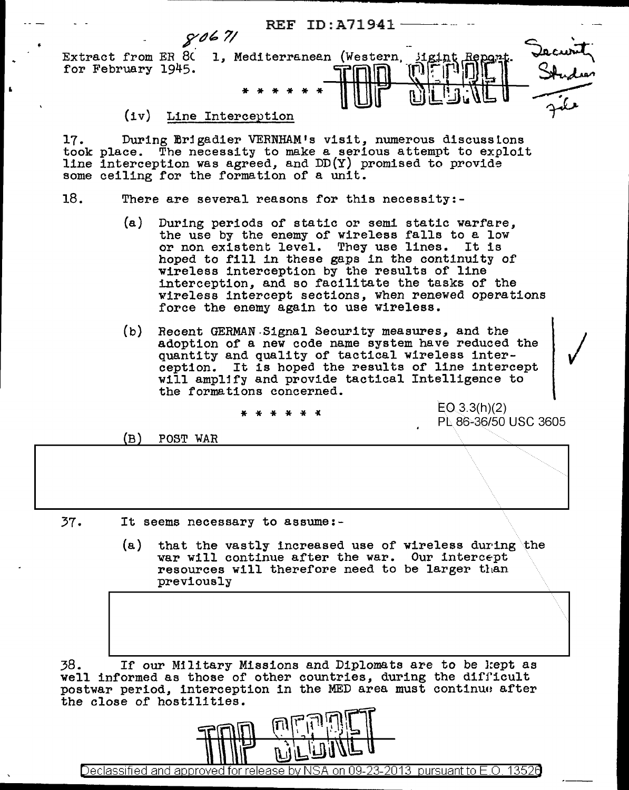REF ID:A71941~- ,r11~ *7/*  Decurity<br>Studier Extract from ER 80 1, Mediterranean (Western, igint for February 1945. \* \* \* \* \* \*

## (iv) Line Interception

17. took place. The necessity to make a serious attempt to exploit line some ceiling for the formation of a unit. During Erigadier VERNHAM's visit, numerous discusstons place. The necessity to make a serious attempt to exploit interception was agreed, and DD(Y) promised to provide ceiling for the formation of a unit.

- 18. There are several reasons for this necessity:-
	- (a) During periods of static or semi static warfare, the use by the enemy of wireless falls to a low or non existent level. They use lines. It is hoped to fill in these gaps in the continuity of wireless interception by the results of line interception, and so facilitate the tasks of the wireless intercept sections, when renewed operations force the enemy again to use wireless.
	- (b) Recent GERMAN-Signal Security measures, and the / adoption of a new code name system have reduced the quantity and quality of tactical wireless inter-<br>ception. It is hoped the results of line intercept will amplify and provide tactical Intelligence to the formations concerned.

 $EQ$  3.3(h)(2) PL 86-36/50 USC 3605

 $\lambda \sim \lambda$ 

(B) POST WAR

37. It seems necessary to assume:-

(a) that the vastly increased use of wireless during the var will continue after the war. Our intercept<br>resources will therefore need to be larger than resources will therefore need to be larger than previously

38. If our Military Missions and Diplomats are to be l:ept as well informed as those of other countries, during the difficult postwar period, interception in the MED area must continuo after the close of hostilities.



Declassified and approved for release by NSA on 09- $23$ -2013 pursuant to E.O. 13520